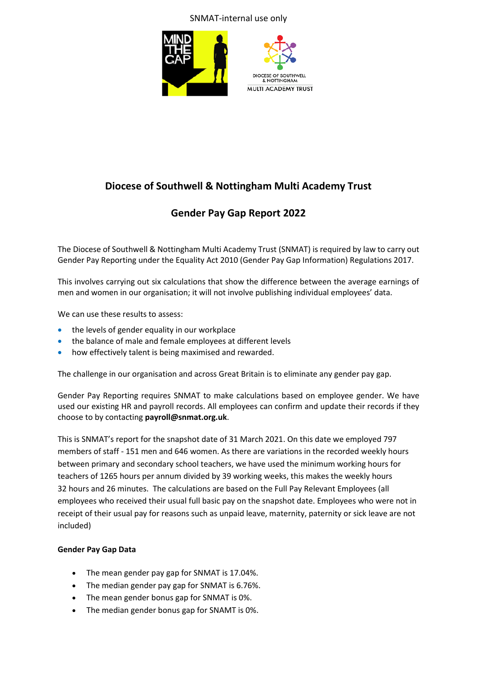## SNMAT-internal use only





# **Diocese of Southwell & Nottingham Multi Academy Trust**

# **Gender Pay Gap Report 2022**

The Diocese of Southwell & Nottingham Multi Academy Trust (SNMAT) is required by law to carry out Gender Pay Reporting under the Equality Act 2010 (Gender Pay Gap Information) Regulations 2017.

This involves carrying out six calculations that show the difference between the average earnings of men and women in our organisation; it will not involve publishing individual employees' data.

We can use these results to assess:

- the levels of gender equality in our workplace
- the balance of male and female employees at different levels
- how effectively talent is being maximised and rewarded.

The challenge in our organisation and across Great Britain is to eliminate any gender pay gap.

Gender Pay Reporting requires SNMAT to make calculations based on employee gender. We have used our existing HR and payroll records. All employees can confirm and update their records if they choose to by contacting **payroll@snmat.org.uk**.

This is SNMAT's report for the snapshot date of 31 March 2021. On this date we employed 797 members of staff - 151 men and 646 women. As there are variations in the recorded weekly hours between primary and secondary school teachers, we have used the minimum working hours for teachers of 1265 hours per annum divided by 39 working weeks, this makes the weekly hours 32 hours and 26 minutes. The calculations are based on the Full Pay Relevant Employees (all employees who received their usual full basic pay on the snapshot date. Employees who were not in receipt of their usual pay for reasons such as unpaid leave, maternity, paternity or sick leave are not included)

### **Gender Pay Gap Data**

- The mean gender pay gap for SNMAT is 17.04%.
- The median gender pay gap for SNMAT is 6.76%.
- The mean gender bonus gap for SNMAT is 0%.
- The median gender bonus gap for SNAMT is 0%.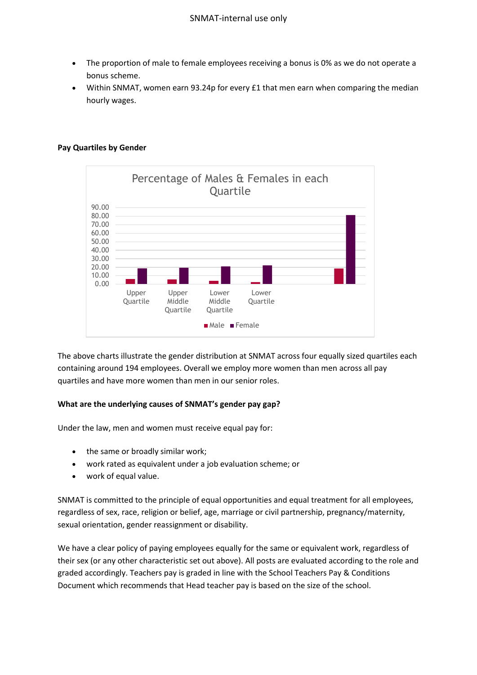- The proportion of male to female employees receiving a bonus is 0% as we do not operate a bonus scheme.
- Within SNMAT, women earn 93.24p for every £1 that men earn when comparing the median hourly wages.

### **Pay Quartiles by Gender**



The above charts illustrate the gender distribution at SNMAT across four equally sized quartiles each containing around 194 employees. Overall we employ more women than men across all pay quartiles and have more women than men in our senior roles.

#### **What are the underlying causes of SNMAT's gender pay gap?**

Under the law, men and women must receive equal pay for:

- the same or broadly similar work;
- work rated as equivalent under a job evaluation scheme; or
- work of equal value.

SNMAT is committed to the principle of equal opportunities and equal treatment for all employees, regardless of sex, race, religion or belief, age, marriage or civil partnership, pregnancy/maternity, sexual orientation, gender reassignment or disability.

We have a clear policy of paying employees equally for the same or equivalent work, regardless of their sex (or any other characteristic set out above). All posts are evaluated according to the role and graded accordingly. Teachers pay is graded in line with the School Teachers Pay & Conditions Document which recommends that Head teacher pay is based on the size of the school.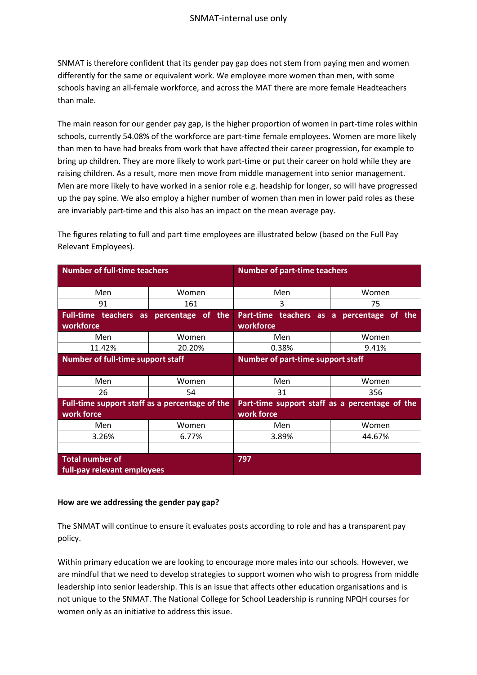SNMAT is therefore confident that its gender pay gap does not stem from paying men and women differently for the same or equivalent work. We employee more women than men, with some schools having an all-female workforce, and across the MAT there are more female Headteachers than male.

The main reason for our gender pay gap, is the higher proportion of women in part-time roles within schools, currently 54.08% of the workforce are part-time female employees. Women are more likely than men to have had breaks from work that have affected their career progression, for example to bring up children. They are more likely to work part-time or put their career on hold while they are raising children. As a result, more men move from middle management into senior management. Men are more likely to have worked in a senior role e.g. headship for longer, so will have progressed up the pay spine. We also employ a higher number of women than men in lower paid roles as these are invariably part-time and this also has an impact on the mean average pay.

| <b>Number of full-time teachers</b>                  |        | <b>Number of part-time teachers</b>            |                                |
|------------------------------------------------------|--------|------------------------------------------------|--------------------------------|
| Men                                                  | Women  | Men                                            | Women                          |
| 91                                                   | 161    | 3                                              | 75                             |
| Full-time teachers as percentage of the<br>workforce |        | Part-time teachers as a<br>workforce           | percentage<br>the<br><b>of</b> |
| Men                                                  | Women  | Men                                            | Women                          |
| 11.42%                                               | 20.20% | 0.38%                                          | 9.41%                          |
| <b>Number of full-time support staff</b>             |        | Number of part-time support staff              |                                |
|                                                      |        |                                                |                                |
| Men                                                  | Women  | Men                                            | Women                          |
| 26                                                   | 54     | 31                                             | 356                            |
| Full-time support staff as a percentage of the       |        | Part-time support staff as a percentage of the |                                |
| work force                                           |        | work force                                     |                                |
| Men                                                  | Women  | Men                                            | Women                          |
| 3.26%                                                | 6.77%  | 3.89%                                          | 44.67%                         |
|                                                      |        |                                                |                                |
| <b>Total number of</b>                               |        | 797                                            |                                |
| full-pay relevant employees                          |        |                                                |                                |

The figures relating to full and part time employees are illustrated below (based on the Full Pay Relevant Employees).

#### **How are we addressing the gender pay gap?**

The SNMAT will continue to ensure it evaluates posts according to role and has a transparent pay policy.

Within primary education we are looking to encourage more males into our schools. However, we are mindful that we need to develop strategies to support women who wish to progress from middle leadership into senior leadership. This is an issue that affects other education organisations and is not unique to the SNMAT. The National College for School Leadership is running NPQH courses for women only as an initiative to address this issue.